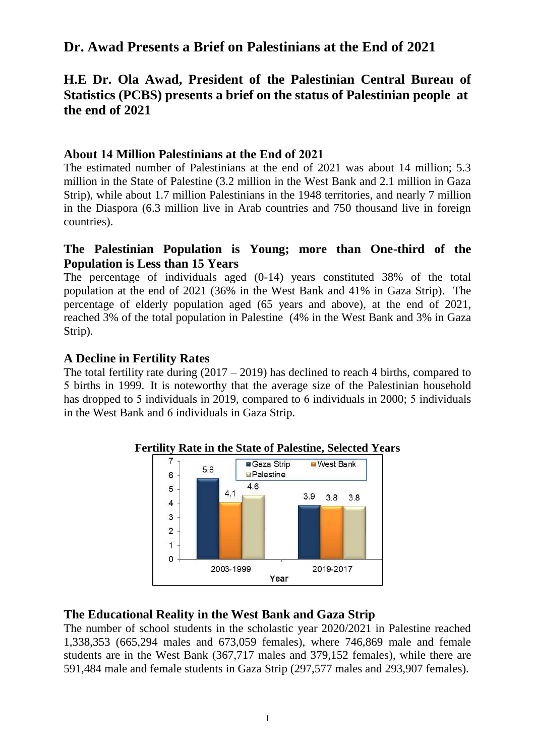# **Dr. Awad Presents a Brief on Palestinians at the End of 2021**

## **H.E Dr. Ola Awad, President of the Palestinian Central Bureau of Statistics (PCBS) presents a brief on the status of Palestinian people at the end of 2021**

#### **About 14 Million Palestinians at the End of 2021**

The estimated number of Palestinians at the end of 2021 was about 14 million; 5.3 million in the State of Palestine (3.2 million in the West Bank and 2.1 million in Gaza Strip), while about 1.7 million Palestinians in the 1948 territories, and nearly 7 million in the Diaspora (6.3 million live in Arab countries and 750 thousand live in foreign countries).

#### **The Palestinian Population is Young; more than One-third of the Population is Less than 15 Years**

The percentage of individuals aged (0-14) years constituted 38% of the total population at the end of 2021 (36% in the West Bank and 41% in Gaza Strip). The percentage of elderly population aged (65 years and above), at the end of 2021, reached 3% of the total population in Palestine (4% in the West Bank and 3% in Gaza Strip).

#### **A Decline in Fertility Rates**

The total fertility rate during  $(2017 – 2019)$  has declined to reach 4 births, compared to 5 births in 1999. It is noteworthy that the average size of the Palestinian household has dropped to 5 individuals in 2019, compared to 6 individuals in 2000; 5 individuals in the West Bank and 6 individuals in Gaza Strip.



#### **Fertility Rate in the State of Palestine, Selected Years**

#### **The Educational Reality in the West Bank and Gaza Strip**

The number of school students in the scholastic year 2020/2021 in Palestine reached 1,338,353 (665,294 males and 673,059 females), where 746,869 male and female students are in the West Bank (367,717 males and 379,152 females), while there are 591,484 male and female students in Gaza Strip (297,577 males and 293,907 females).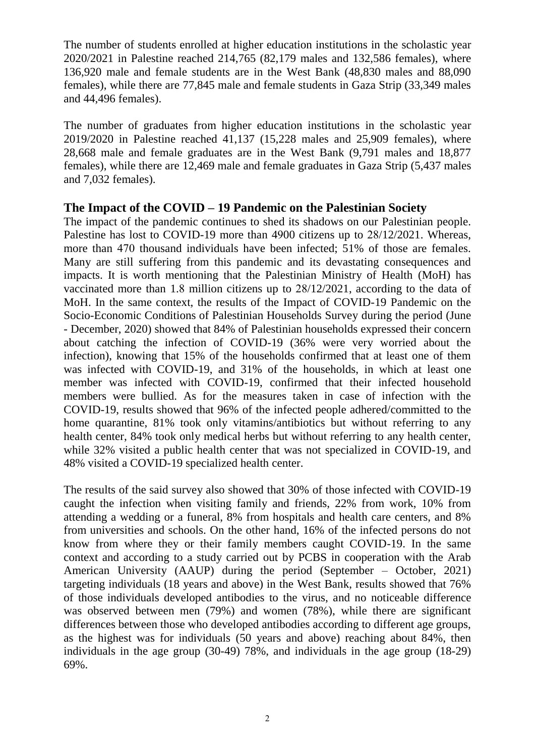The number of students enrolled at higher education institutions in the scholastic year 2020/2021 in Palestine reached 214,765 (82,179 males and 132,586 females), where 136,920 male and female students are in the West Bank (48,830 males and 88,090 females), while there are 77,845 male and female students in Gaza Strip (33,349 males and 44,496 females).

The number of graduates from higher education institutions in the scholastic year 2019/2020 in Palestine reached 41,137 (15,228 males and 25,909 females), where 28,668 male and female graduates are in the West Bank (9,791 males and 18,877 females), while there are 12,469 male and female graduates in Gaza Strip (5,437 males and 7,032 females).

#### **The Impact of the COVID – 19 Pandemic on the Palestinian Society**

The impact of the pandemic continues to shed its shadows on our Palestinian people. Palestine has lost to COVID-19 more than 4900 citizens up to 28/12/2021. Whereas, more than 470 thousand individuals have been infected; 51% of those are females. Many are still suffering from this pandemic and its devastating consequences and impacts. It is worth mentioning that the Palestinian Ministry of Health (MoH) has vaccinated more than 1.8 million citizens up to 28/12/2021, according to the data of MoH. In the same context, the results of the Impact of COVID-19 Pandemic on the Socio-Economic Conditions of Palestinian Households Survey during the period (June - December, 2020) showed that 84% of Palestinian households expressed their concern about catching the infection of COVID-19 (36% were very worried about the infection), knowing that 15% of the households confirmed that at least one of them was infected with COVID-19, and 31% of the households, in which at least one member was infected with COVID-19, confirmed that their infected household members were bullied. As for the measures taken in case of infection with the COVID-19, results showed that 96% of the infected people adhered/committed to the home quarantine, 81% took only vitamins/antibiotics but without referring to any health center, 84% took only medical herbs but without referring to any health center, while 32% visited a public health center that was not specialized in COVID-19, and 48% visited a COVID-19 specialized health center.

The results of the said survey also showed that 30% of those infected with COVID-19 caught the infection when visiting family and friends, 22% from work, 10% from attending a wedding or a funeral, 8% from hospitals and health care centers, and 8% from universities and schools. On the other hand, 16% of the infected persons do not know from where they or their family members caught COVID-19. In the same context and according to a study carried out by PCBS in cooperation with the Arab American University (AAUP) during the period (September – October, 2021) targeting individuals (18 years and above) in the West Bank, results showed that 76% of those individuals developed antibodies to the virus, and no noticeable difference was observed between men (79%) and women (78%), while there are significant differences between those who developed antibodies according to different age groups, as the highest was for individuals (50 years and above) reaching about 84%, then individuals in the age group (30-49) 78%, and individuals in the age group (18-29) 69%.